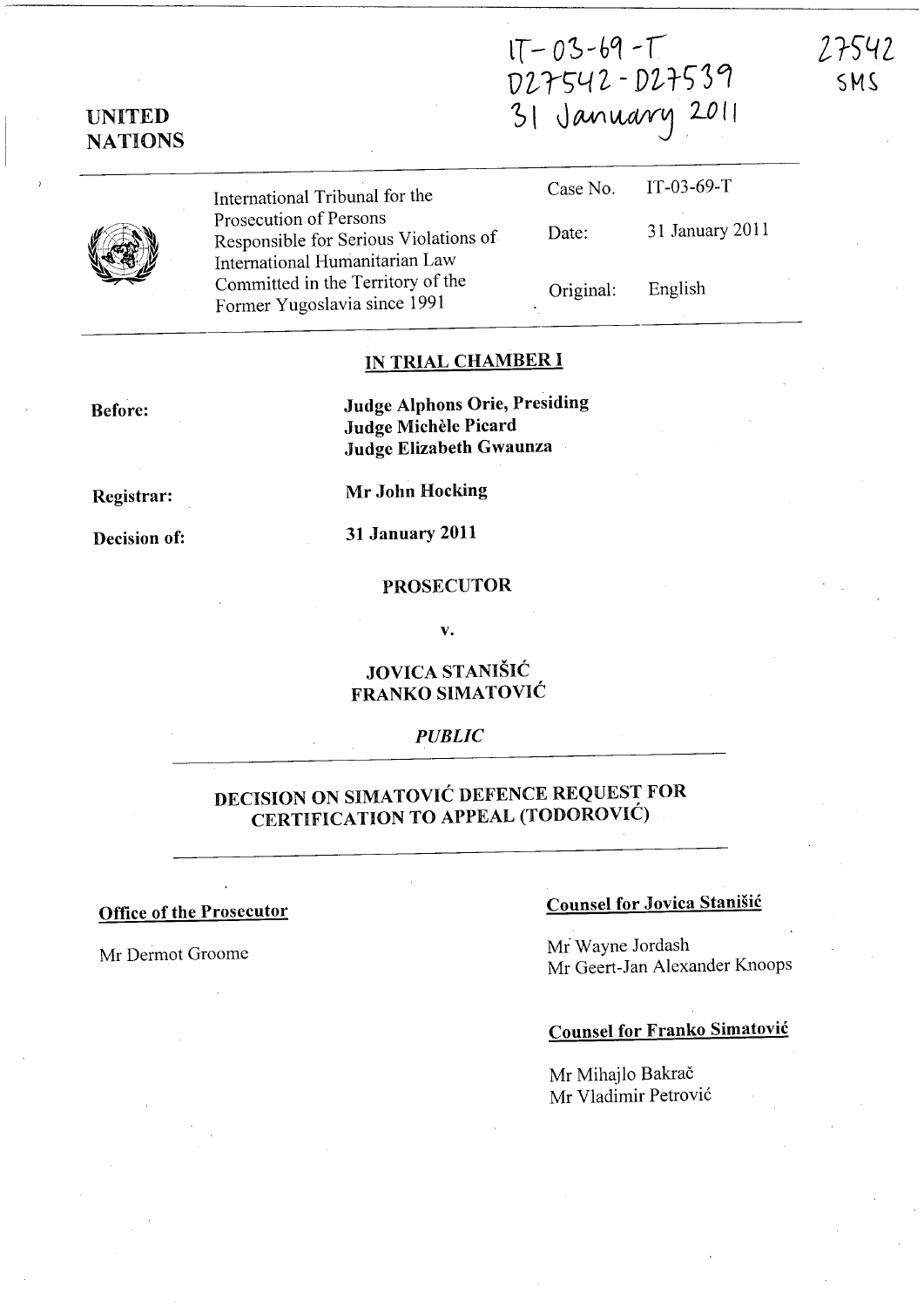027542 - D27539 31 January 2011

NATIONS

UNITED



International Tribunal for the Prosecution of Persons Responsible for Serious Violations of International Humanitarian Law Committed in the Territory of the Former Yugoslavia since <sup>1991</sup>

| Case No.  | $IT-03-69-T$    |
|-----------|-----------------|
| Date:     | 31 January 2011 |
| Original: | English         |

## IN TRIAL CHAMBER I

Before:

Judge Alphons Orie, Presiding Judge Michele Picard Judge Elizabeth Gwaunza

Registrar:

Mr John Hocking

Decision of:

31 January 2011

### PROSECUTOR

v.

## JOVICA STANISIC FRANKO SIMATOVIC

## *PUBLIC*

## DECISION ON SIMATOVIC DEFENCE REQUEST FOR CERTIFICATION TO APPEAL (TODOROVIC)

# Office of the Prosecutor Counsel for Jovica Stanisic

Mr Dermot Groome Ministers of Ministers and Ministers and Ministers and Ministers and Ministers and Ministers and Ministers and Ministers and Ministers and Ministers and Ministers and Ministers and Ministers and Ministers Mr Geert-Jan Alexander Knoops

## Counsel for Franko Simatovic

Mr Mihajlo Bakrač Mr Vladimir Petrović 27542 SMS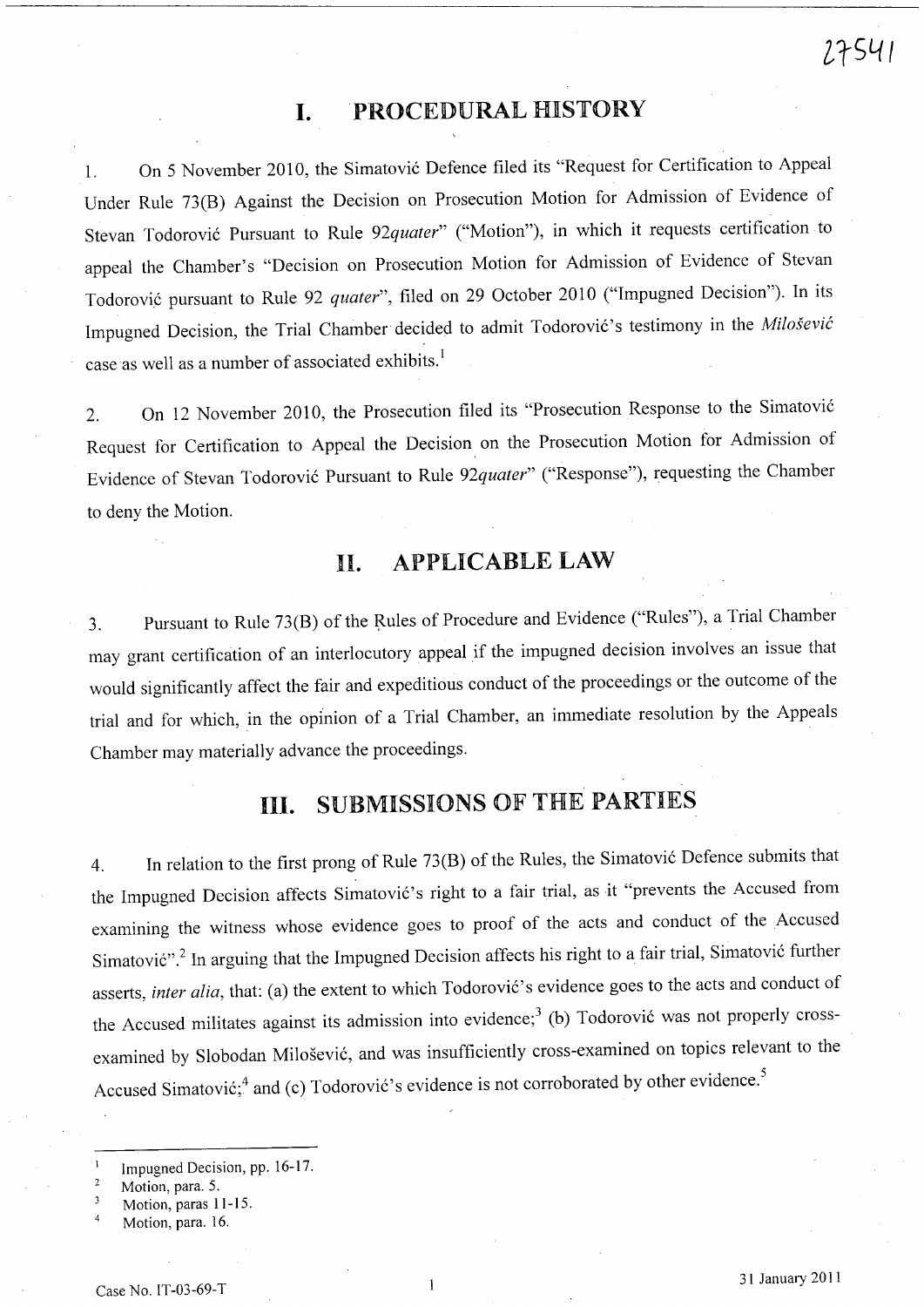## I. PROCEDURAL HISTORY

1. On 5 November 2010, the Simatovi6 Defence filed its "Request for Certification to Appeal Under Rule 73(B) Against the Decision on Prosecution Motion for Admission of Evidence of Stevan Todorović Pursuant to Rule 92quater" ("Motion"), in which it requests certification to appeal the Chamber's "Decision on Prosecution Motion for Admission of Evidence of Stevan Todorović pursuant to Rule 92 *quater*", filed on 29 October 2010 ("Impugned Decision"). In its Impugned Decision, the Trial Chamber decided to admit Todorović's testimony in the *Milošević* case as well as a number of associated exhibits.<sup>1</sup>

2. On 12 November 2010, the Prosecution filed its "Prosecution Response to the Simatovi6 Request for Certification to Appeal the Decision on the Prosecution Motion for Admission of Evidence of Stevan Todorovi6 Pursuant to Rule *92quater"* ("Response"), requesting the Chamber to deny the Motion.

# **II.** APPLICABLE LAW

3. Pursuant to Rule 73(B) of the Rules of Procedure and Evidence ("Rules"), a Trial Chamber may grant certification of an interlocutory appeal if the impugned decision involves an issue that would significantly affect the fair and expeditious conduct of the proceedings or the outcome of the trial and for which, in the opinion of a Trial Chamber, an immediate resolution by the Appeals Chamber may materially advance the proceedings.

# **Ill.** SUBMISSIONS OF THE PARTIES

4. In relation to the first prong of Rule 73(B) of the Rules, the Simatovi6 Defence submits that the Impugned Decision affects Simatović's right to a fair trial, as it "prevents the Accused from examining the witness whose evidence goes to proof of the acts and conduct of the Accused Simatović".<sup>2</sup> In arguing that the Impugned Decision affects his right to a fair trial, Simatović further asserts, *inter alia*, that: (a) the extent to which Todorović's evidence goes to the acts and conduct of the Accused militates against its admission into evidence;<sup>3</sup> (b) Todorović was not properly crossexamined by Slobodan Milosevic, and was insufficiently cross-examined on topics relevant to the Accused Simatović;<sup>4</sup> and (c) Todorović's evidence is not corroborated by other evidence.<sup>5</sup>

*lt5L(1* 

Impugned Decision, pp. 16-17.

 $\overline{2}$ Motion, para. 5.

Motion, paras 11-IS.

Motion, para. 16.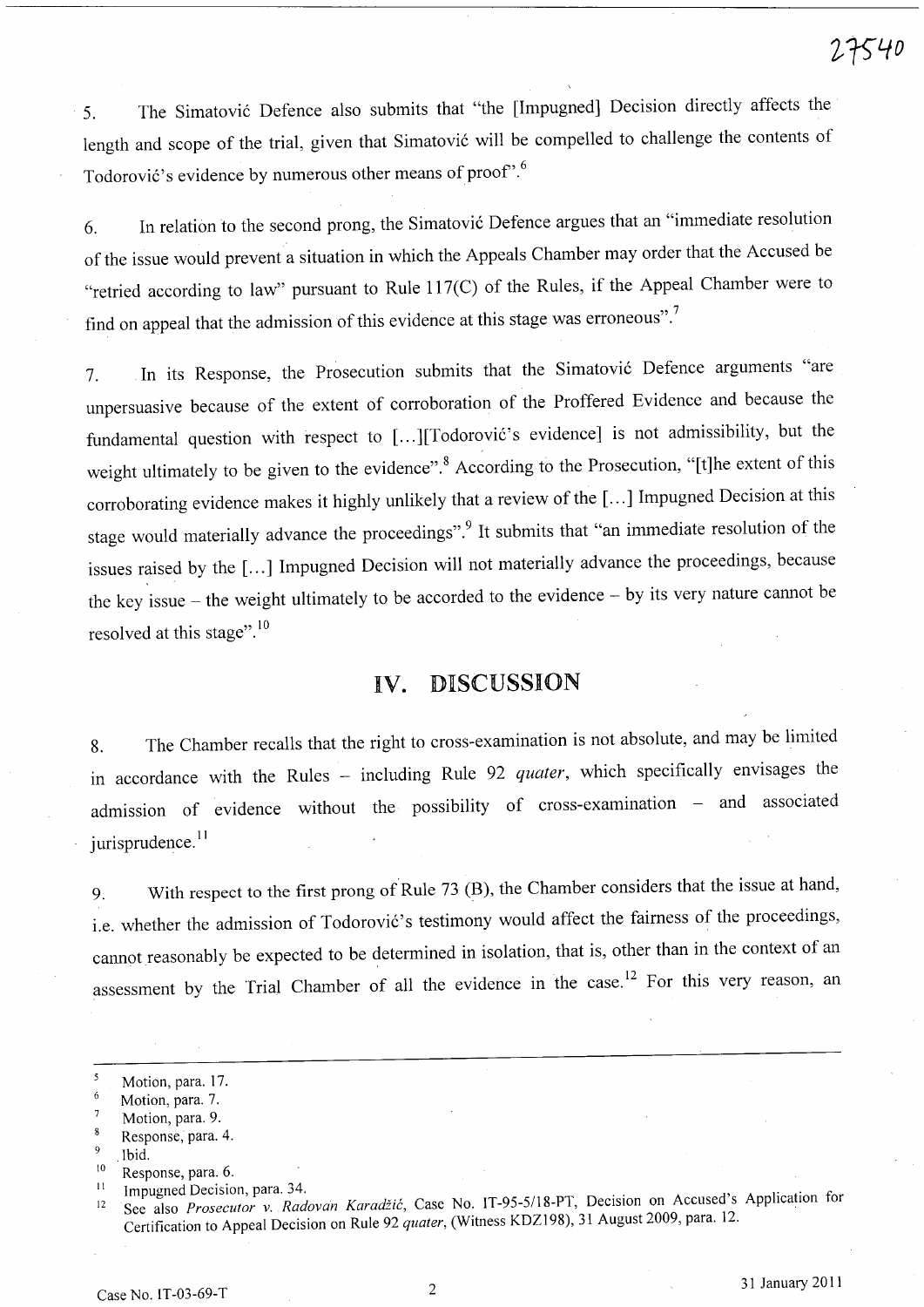5. The Simatovi6 Defence also submits that "the [Impugned] Decision directly affects the length and scope of the trial, given that Simatović will be compelled to challenge the contents of Todorović's evidence by numerous other means of proof".<sup>6</sup>

6. In relation to the second prong, the Simatovi6 Defence argues that an "immediate resolution of the issue would prevent a situation in which the Appeals Chamber may order that the Accused be "retried according to law" pursuant to Rule 117(C) of the Rules, if the Appeal Chamber were to find on appeal that the admission of this evidence at this stage was erroneous". 7

7. In its Response, the Prosecution submits that the Simatović Defence arguments "are unpersuasive because of the extent of corroboration of the Proffered Evidence and because the fundamental question with respect to [...][Todorović's evidence] is not admissibility, but the weight ultimately to be given to the evidence".<sup>8</sup> According to the Prosecution, "[t]he extent of this corroborating evidence makes it highly unlikely that a review of the [ ... ] Impugned Decision at this stage would materially advance the proceedings".<sup>9</sup> It submits that "an immediate resolution of the issues raised by the [...] Impugned Decision will not materially advance the proceedings, because the key issue - the weight ultimately to be accorded to the evidence - by its very nature cannot be resolved at this stage".<sup>10</sup>

## **IV.** DISCUSSION

8. The Chamber recalls that the right to cross-examination is not absolute, and may be limited in accordance with the Rules - including Rule 92 *quater*, which specifically envisages the admission of evidence without the possibility of cross-examination - and associated  $i$  urisprudence.<sup>11</sup>

9. With respect to the first prong of Rule 73 (B), the Chamber considers that the issue at hand, i.e. whether the admission of Todorović's testimony would affect the fairness of the proceedings, cannot reasonably be expected to be determined in isolation, that is, other than in the context of an assessment by the Trial Chamber of all the evidence in the case.<sup>12</sup> For this very reason, an

- 6 Motion, para. 7.
- $\overline{7}$ Motion, para. 9.
- $\mathbf{S}$ Response, para. 4.
- Ibid.
- <sup>10</sup> Response, para. 6.
- <sup>11</sup> Impugned Decision, para. 34.

<sup>5</sup> Motion, para. 17.

<sup>12</sup> See also *Prosecutor v. Radovan Karadžić*, Case No. IT-95-5/18-PT, Decision on Accused's Application for Certification to Appeal Decision on Rule 92 *quater,* (Witness KDZI98), 31 August 2009, para. 12.